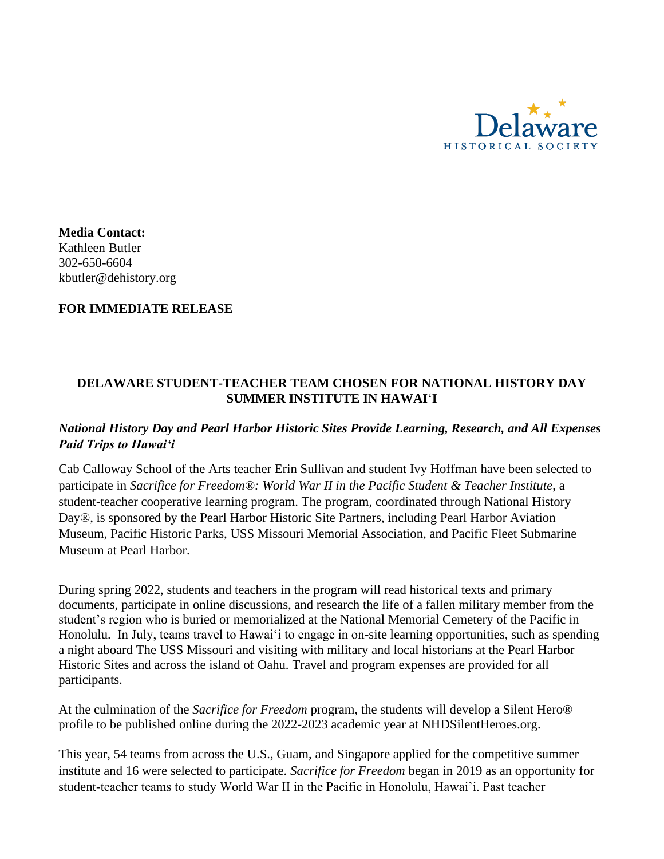

**Media Contact:**  Kathleen Butler 302-650-6604 kbutler@dehistory.org

### **FOR IMMEDIATE RELEASE**

# **DELAWARE STUDENT-TEACHER TEAM CHOSEN FOR NATIONAL HISTORY DAY SUMMER INSTITUTE IN HAWAI**ʻ**I**

## *National History Day and Pearl Harbor Historic Sites Provide Learning, Research, and All Expenses Paid Trips to Hawaiʻi*

Cab Calloway School of the Arts teacher Erin Sullivan and student Ivy Hoffman have been selected to participate in *Sacrifice for Freedom®: World War II in the Pacific Student & Teacher Institute*, a student-teacher cooperative learning program. The program, coordinated through National History Day®, is sponsored by the Pearl Harbor Historic Site Partners, including Pearl Harbor Aviation Museum, Pacific Historic Parks, USS Missouri Memorial Association, and Pacific Fleet Submarine Museum at Pearl Harbor.

During spring 2022, students and teachers in the program will read historical texts and primary documents, participate in online discussions, and research the life of a fallen military member from the student's region who is buried or memorialized at the National Memorial Cemetery of the Pacific in Honolulu. In July, teams travel to Hawaiʻi to engage in on-site learning opportunities, such as spending a night aboard The USS Missouri and visiting with military and local historians at the Pearl Harbor Historic Sites and across the island of Oahu. Travel and program expenses are provided for all participants.

At the culmination of the *Sacrifice for Freedom* program, the students will develop a Silent Hero® profile to be published online during the 2022-2023 academic year at NHDSilentHeroes.org.

This year, 54 teams from across the U.S., Guam, and Singapore applied for the competitive summer institute and 16 were selected to participate. *Sacrifice for Freedom* began in 2019 as an opportunity for student-teacher teams to study World War II in the Pacific in Honolulu, Hawai'i. Past teacher